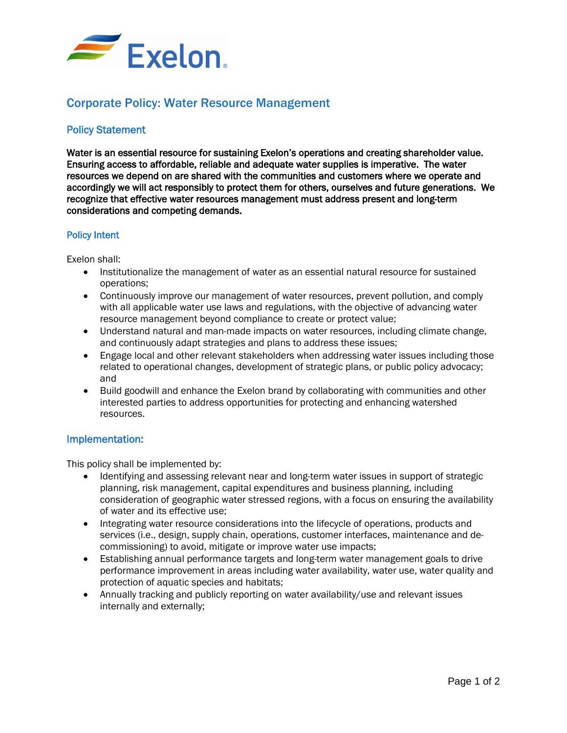

## Corporate Policy: Water Resource Management

## Policy Statement

Water is an essential resource for sustaining Exelon's operations and creating shareholder value. Ensuring access to affordable, reliable and adequate water supplies is imperative. The water resources we depend on are shared with the communities and customers where we operate and accordingly we will act responsibly to protect them for others, ourselves and future generations. We recognize that effective water resources management must address present and long-term considerations and competing demands.

## Policy Intent

Exelon shall:

- Institutionalize the management of water as an essential natural resource for sustained operations;
- Continuously improve our management of water resources, prevent pollution, and comply with all applicable water use laws and regulations, with the objective of advancing water resource management beyond compliance to create or protect value;
- Understand natural and man-made impacts on water resources, including climate change, and continuously adapt strategies and plans to address these issues;
- Engage local and other relevant stakeholders when addressing water issues including those related to operational changes, development of strategic plans, or public policy advocacy; and
- Build goodwill and enhance the Exelon brand by collaborating with communities and other interested parties to address opportunities for protecting and enhancing watershed resources.

## Implementation:

This policy shall be implemented by:

- Identifying and assessing relevant near and long-term water issues in support of strategic planning, risk management, capital expenditures and business planning, including consideration of geographic water stressed regions, with a focus on ensuring the availability of water and its effective use;
- Integrating water resource considerations into the lifecycle of operations, products and services (i.e., design, supply chain, operations, customer interfaces, maintenance and decommissioning) to avoid, mitigate or improve water use impacts;
- Establishing annual performance targets and long-term water management goals to drive performance improvement in areas including water availability, water use, water quality and protection of aquatic species and habitats;
- Annually tracking and publicly reporting on water availability/use and relevant issues internally and externally;